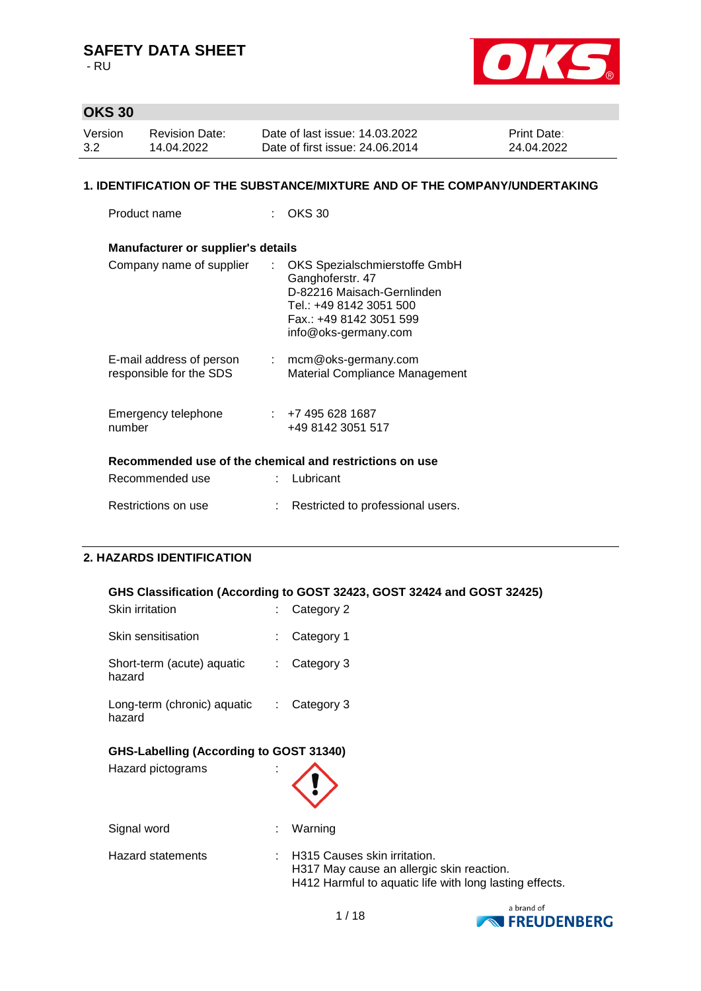- RU



# **OKS 30**

| Version | <b>Revision Date:</b> | Date of last issue: 14.03.2022  | <b>Print Date:</b> |
|---------|-----------------------|---------------------------------|--------------------|
| 3.2     | 14.04.2022            | Date of first issue: 24,06,2014 | 24.04.2022         |

#### **1. IDENTIFICATION OF THE SUBSTANCE/MIXTURE AND OF THE COMPANY/UNDERTAKING**

Product name : OKS 30

| <b>Manufacturer or supplier's details</b>               |    |                                                                                                                                                               |
|---------------------------------------------------------|----|---------------------------------------------------------------------------------------------------------------------------------------------------------------|
| Company name of supplier                                | t. | OKS Spezialschmierstoffe GmbH<br>Ganghoferstr. 47<br>D-82216 Maisach-Gernlinden<br>Tel.: +49 8142 3051 500<br>Fax.: +49 8142 3051 599<br>info@oks-germany.com |
| E-mail address of person<br>responsible for the SDS     | ÷. | mcm@oks-germany.com<br>Material Compliance Management                                                                                                         |
| Emergency telephone<br>number                           |    | ∶ +7 495 628 1687<br>+49 8142 3051 517                                                                                                                        |
| Recommended use of the chemical and restrictions on use |    |                                                                                                                                                               |
| Recommended use                                         |    | Lubricant                                                                                                                                                     |
| Restrictions on use                                     |    | Restricted to professional users.                                                                                                                             |

## **2. HAZARDS IDENTIFICATION**

### **GHS Classification (According to GOST 32423, GOST 32424 and GOST 32425)**

| Skin irritation                                              |    | Category 2                                                                                                                           |
|--------------------------------------------------------------|----|--------------------------------------------------------------------------------------------------------------------------------------|
| Skin sensitisation                                           |    | Category 1                                                                                                                           |
| Short-term (acute) aquatic<br>hazard                         |    | Category 3                                                                                                                           |
| Long-term (chronic) aquatic<br>hazard                        | ÷. | Category 3                                                                                                                           |
| GHS-Labelling (According to GOST 31340)<br>Hazard pictograms |    |                                                                                                                                      |
| Signal word                                                  |    | Warning                                                                                                                              |
| <b>Hazard statements</b>                                     |    | H315 Causes skin irritation.<br>H317 May cause an allergic skin reaction.<br>H412 Harmful to aquatic life with long lasting effects. |

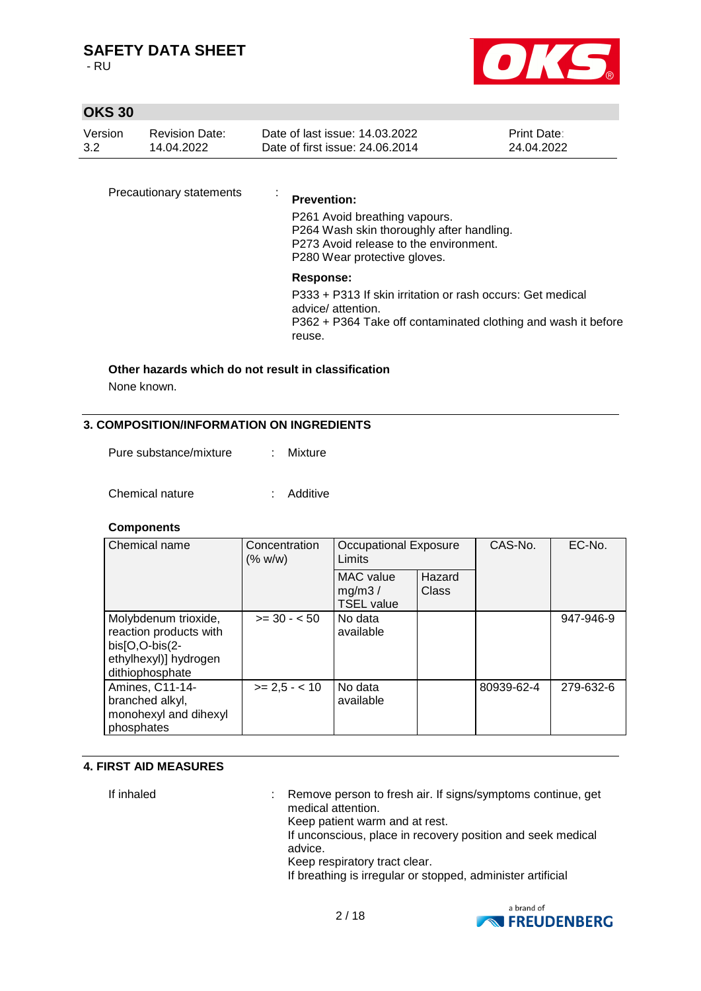- RU



# **OKS 30**

| Version | Revision Date: | Date of last issue: 14.03.2022  | <b>Print Date:</b> |
|---------|----------------|---------------------------------|--------------------|
| 3.2     | 14.04.2022     | Date of first issue: 24.06.2014 | 24.04.2022         |

Precautionary statements :

#### **Prevention:**

P261 Avoid breathing vapours. P264 Wash skin thoroughly after handling. P273 Avoid release to the environment. P280 Wear protective gloves.

### **Response:**

P333 + P313 If skin irritation or rash occurs: Get medical advice/ attention. P362 + P364 Take off contaminated clothing and wash it before reuse.

# **Other hazards which do not result in classification**

None known.

#### **3. COMPOSITION/INFORMATION ON INGREDIENTS**

| Pure substance/mixture | : Mixture |
|------------------------|-----------|
|                        |           |

Chemical nature : Additive

## **Components**

| Chemical name<br>Concentration<br>(% w/w)                                                                      |                 | <b>Occupational Exposure</b><br>Limits          |                 | CAS-No.    | EC-No.    |
|----------------------------------------------------------------------------------------------------------------|-----------------|-------------------------------------------------|-----------------|------------|-----------|
|                                                                                                                |                 | <b>MAC</b> value<br>mg/m3/<br><b>TSEL value</b> | Hazard<br>Class |            |           |
| Molybdenum trioxide,<br>reaction products with<br>$bis[O,O-bis(2-$<br>ethylhexyl)] hydrogen<br>dithiophosphate | $>= 30 - 50$    | No data<br>available                            |                 |            | 947-946-9 |
| Amines, C11-14-<br>branched alkyl,<br>monohexyl and dihexyl<br>phosphates                                      | $>= 2.5 - < 10$ | No data<br>available                            |                 | 80939-62-4 | 279-632-6 |

#### **4. FIRST AID MEASURES**

If inhaled : Remove person to fresh air. If signs/symptoms continue, get medical attention. Keep patient warm and at rest. If unconscious, place in recovery position and seek medical advice. Keep respiratory tract clear. If breathing is irregular or stopped, administer artificial

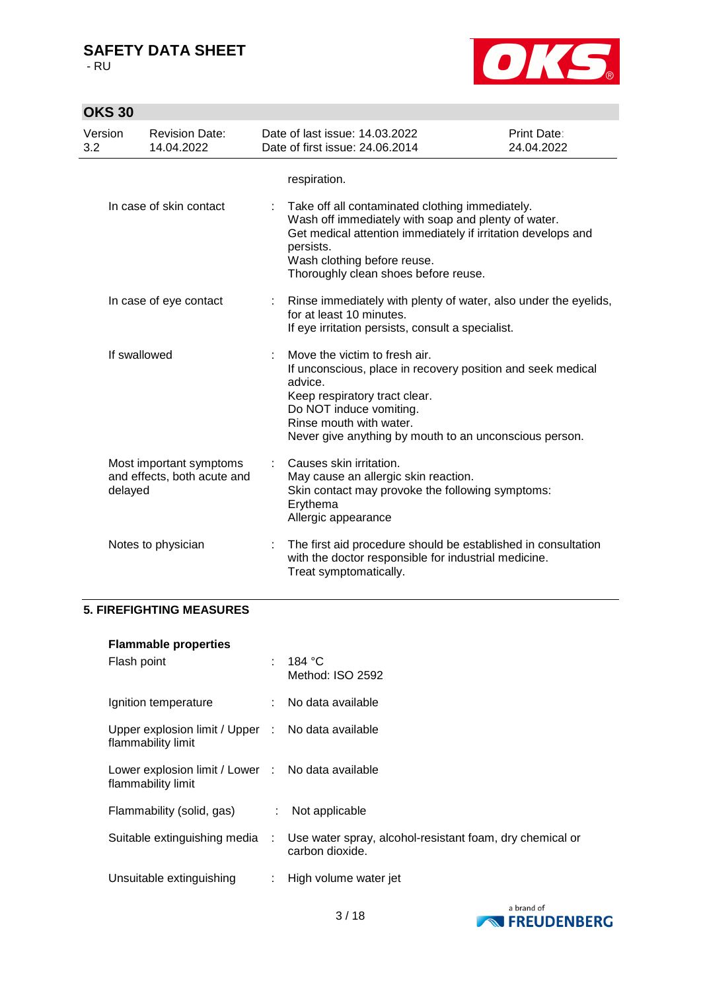- RU



| Version<br>3.2 | 14.04.2022                                                        | <b>Revision Date:</b> |   | Date of last issue: 14.03.2022<br>Date of first issue: 24.06.2014                                                                                                                                                                                          | Print Date:<br>24.04.2022 |
|----------------|-------------------------------------------------------------------|-----------------------|---|------------------------------------------------------------------------------------------------------------------------------------------------------------------------------------------------------------------------------------------------------------|---------------------------|
|                |                                                                   |                       |   | respiration.                                                                                                                                                                                                                                               |                           |
|                | In case of skin contact                                           |                       | ÷ | Take off all contaminated clothing immediately.<br>Wash off immediately with soap and plenty of water.<br>Get medical attention immediately if irritation develops and<br>persists.<br>Wash clothing before reuse.<br>Thoroughly clean shoes before reuse. |                           |
|                | In case of eye contact                                            |                       | ÷ | Rinse immediately with plenty of water, also under the eyelids,<br>for at least 10 minutes.<br>If eye irritation persists, consult a specialist.                                                                                                           |                           |
|                | If swallowed                                                      |                       |   | Move the victim to fresh air.<br>If unconscious, place in recovery position and seek medical<br>advice.<br>Keep respiratory tract clear.<br>Do NOT induce vomiting.<br>Rinse mouth with water.<br>Never give anything by mouth to an unconscious person.   |                           |
|                | Most important symptoms<br>and effects, both acute and<br>delayed |                       |   | Causes skin irritation.<br>May cause an allergic skin reaction.<br>Skin contact may provoke the following symptoms:<br>Erythema<br>Allergic appearance                                                                                                     |                           |
|                | Notes to physician                                                |                       |   | The first aid procedure should be established in consultation<br>with the doctor responsible for industrial medicine.<br>Treat symptomatically.                                                                                                            |                           |

## **5. FIREFIGHTING MEASURES**

| <b>Flammable properties</b>                                             |   |                                                                             |
|-------------------------------------------------------------------------|---|-----------------------------------------------------------------------------|
| Flash point                                                             |   | : 184 °C<br>Method: ISO 2592                                                |
| Ignition temperature                                                    |   | : No data available                                                         |
| Upper explosion limit / Upper : No data available<br>flammability limit |   |                                                                             |
| Lower explosion limit / Lower : No data available<br>flammability limit |   |                                                                             |
| Flammability (solid, gas)                                               |   | $:$ Not applicable                                                          |
| Suitable extinguishing media :                                          |   | Use water spray, alcohol-resistant foam, dry chemical or<br>carbon dioxide. |
| Unsuitable extinguishing                                                | ÷ | High volume water jet                                                       |

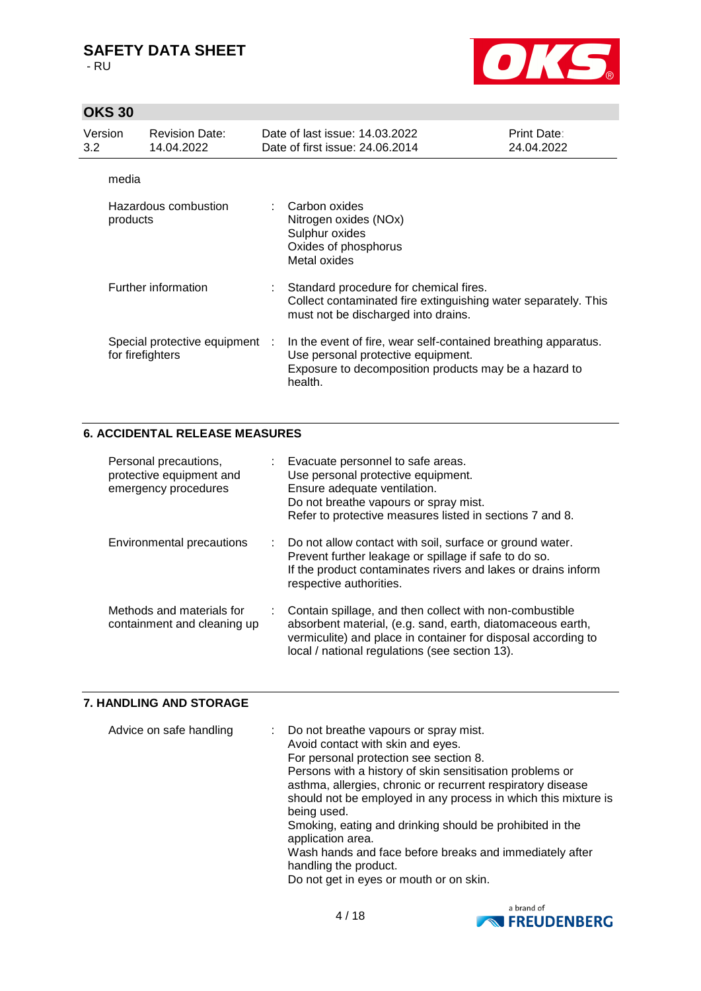- RU



# **OKS 30**

| Version<br>3.2 | <b>Revision Date:</b><br>14.04.2022                | Date of last issue: 14.03.2022<br>Date of first issue: 24,06,2014                                                                                                        | <b>Print Date:</b><br>24.04.2022 |
|----------------|----------------------------------------------------|--------------------------------------------------------------------------------------------------------------------------------------------------------------------------|----------------------------------|
|                | media                                              |                                                                                                                                                                          |                                  |
|                | Hazardous combustion<br>products                   | : Carbon oxides<br>Nitrogen oxides (NOx)<br>Sulphur oxides<br>Oxides of phosphorus<br>Metal oxides                                                                       |                                  |
|                | Further information                                | : Standard procedure for chemical fires.<br>Collect contaminated fire extinguishing water separately. This<br>must not be discharged into drains.                        |                                  |
|                | Special protective equipment :<br>for firefighters | In the event of fire, wear self-contained breathing apparatus.<br>Use personal protective equipment.<br>Exposure to decomposition products may be a hazard to<br>health. |                                  |

## **6. ACCIDENTAL RELEASE MEASURES**

| Personal precautions,<br>protective equipment and<br>emergency procedures |    | : Evacuate personnel to safe areas.<br>Use personal protective equipment.<br>Ensure adequate ventilation.<br>Do not breathe vapours or spray mist.<br>Refer to protective measures listed in sections 7 and 8.                           |
|---------------------------------------------------------------------------|----|------------------------------------------------------------------------------------------------------------------------------------------------------------------------------------------------------------------------------------------|
| <b>Environmental precautions</b>                                          |    | : Do not allow contact with soil, surface or ground water.<br>Prevent further leakage or spillage if safe to do so.<br>If the product contaminates rivers and lakes or drains inform<br>respective authorities.                          |
| Methods and materials for<br>containment and cleaning up                  | t. | Contain spillage, and then collect with non-combustible<br>absorbent material, (e.g. sand, earth, diatomaceous earth,<br>vermiculite) and place in container for disposal according to<br>local / national regulations (see section 13). |

# **7. HANDLING AND STORAGE**

| Advice on safe handling | : Do not breathe vapours or spray mist.<br>Avoid contact with skin and eyes.<br>For personal protection see section 8.<br>Persons with a history of skin sensitisation problems or<br>asthma, allergies, chronic or recurrent respiratory disease |
|-------------------------|---------------------------------------------------------------------------------------------------------------------------------------------------------------------------------------------------------------------------------------------------|
|                         | should not be employed in any process in which this mixture is<br>being used.                                                                                                                                                                     |
|                         | Smoking, eating and drinking should be prohibited in the<br>application area.                                                                                                                                                                     |
|                         | Wash hands and face before breaks and immediately after                                                                                                                                                                                           |
|                         | handling the product.                                                                                                                                                                                                                             |
|                         | Do not get in eyes or mouth or on skin.                                                                                                                                                                                                           |

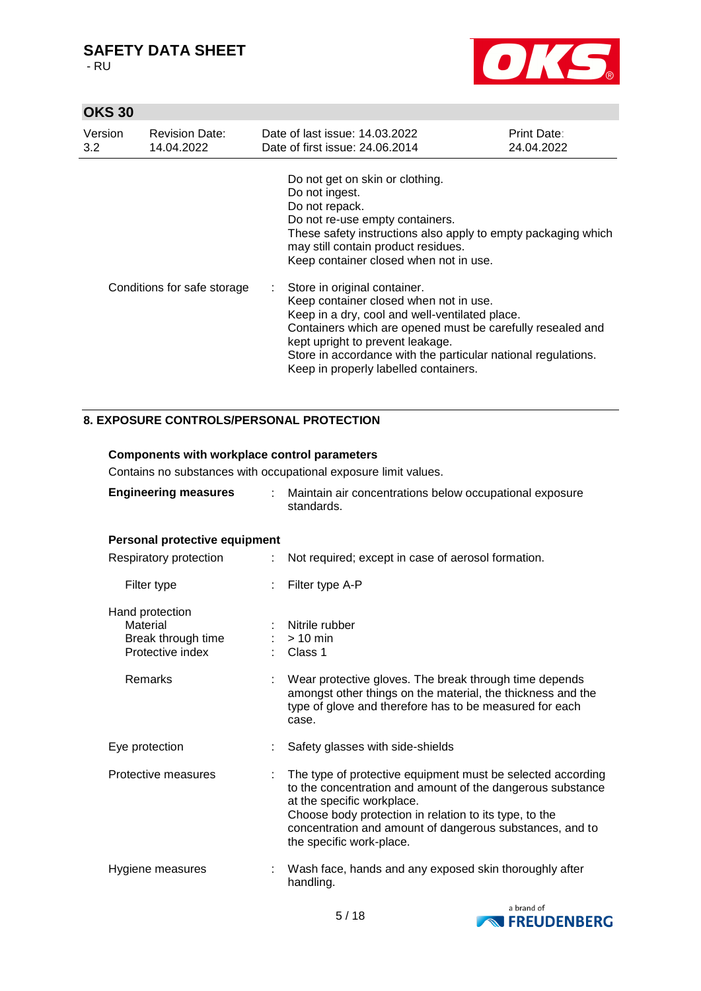- RU



# **OKS 30**

| Version<br>3.2 | <b>Revision Date:</b><br>14.04.2022 | Date of last issue: 14.03.2022<br>Date of first issue: 24,06,2014                                                                                                                                                                                                                                                                      | Print Date:<br>24.04.2022 |
|----------------|-------------------------------------|----------------------------------------------------------------------------------------------------------------------------------------------------------------------------------------------------------------------------------------------------------------------------------------------------------------------------------------|---------------------------|
|                |                                     | Do not get on skin or clothing.<br>Do not ingest.<br>Do not repack.<br>Do not re-use empty containers.<br>These safety instructions also apply to empty packaging which<br>may still contain product residues.<br>Keep container closed when not in use.                                                                               |                           |
|                | Conditions for safe storage         | : Store in original container.<br>Keep container closed when not in use.<br>Keep in a dry, cool and well-ventilated place.<br>Containers which are opened must be carefully resealed and<br>kept upright to prevent leakage.<br>Store in accordance with the particular national regulations.<br>Keep in properly labelled containers. |                           |

# **8. EXPOSURE CONTROLS/PERSONAL PROTECTION**

| <b>Components with workplace control parameters</b><br>Contains no substances with occupational exposure limit values. |                                                                                                                                                                                                                                                                                                           |  |  |  |  |
|------------------------------------------------------------------------------------------------------------------------|-----------------------------------------------------------------------------------------------------------------------------------------------------------------------------------------------------------------------------------------------------------------------------------------------------------|--|--|--|--|
| <b>Engineering measures</b><br>t.                                                                                      | Maintain air concentrations below occupational exposure<br>standards                                                                                                                                                                                                                                      |  |  |  |  |
| Personal protective equipment                                                                                          |                                                                                                                                                                                                                                                                                                           |  |  |  |  |
| Respiratory protection<br>÷.                                                                                           | Not required; except in case of aerosol formation.                                                                                                                                                                                                                                                        |  |  |  |  |
| Filter type                                                                                                            | Filter type A-P                                                                                                                                                                                                                                                                                           |  |  |  |  |
| Hand protection<br>Material<br>Break through time<br>Protective index<br>Remarks                                       | Nitrile rubber<br>$> 10$ min<br>$\therefore$ Class 1<br>Wear protective gloves. The break through time depends<br>amongst other things on the material, the thickness and the<br>type of glove and therefore has to be measured for each                                                                  |  |  |  |  |
|                                                                                                                        | case.                                                                                                                                                                                                                                                                                                     |  |  |  |  |
| Eye protection                                                                                                         | Safety glasses with side-shields                                                                                                                                                                                                                                                                          |  |  |  |  |
| Protective measures                                                                                                    | The type of protective equipment must be selected according<br>to the concentration and amount of the dangerous substance<br>at the specific workplace.<br>Choose body protection in relation to its type, to the<br>concentration and amount of dangerous substances, and to<br>the specific work-place. |  |  |  |  |
| Hygiene measures                                                                                                       | Wash face, hands and any exposed skin thoroughly after<br>handling.                                                                                                                                                                                                                                       |  |  |  |  |

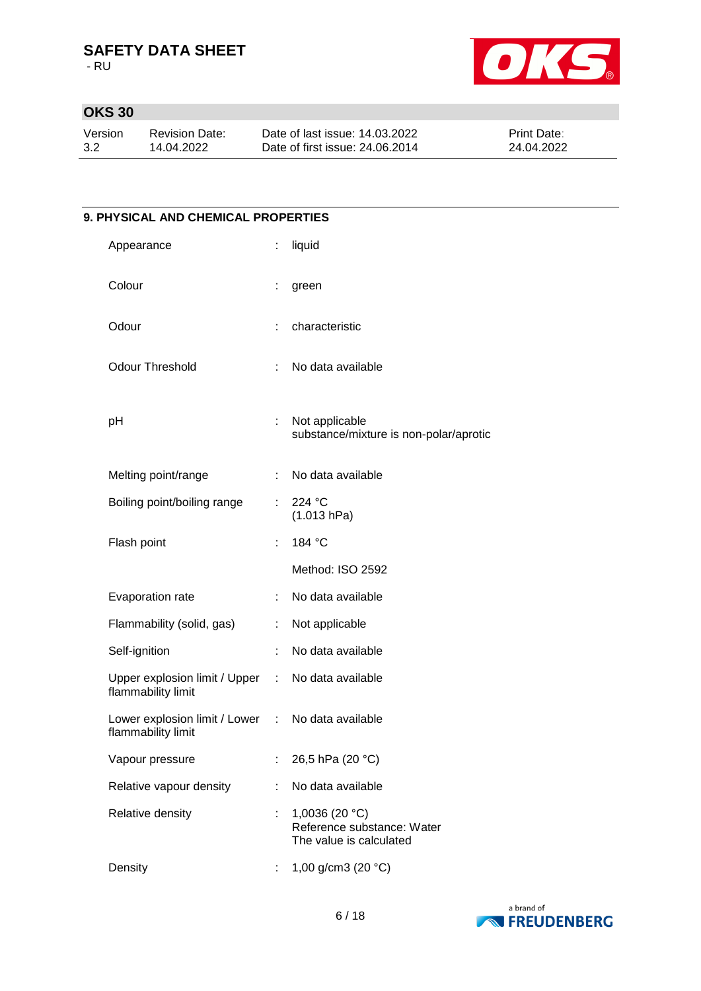- RU



# **OKS 30**

| Version | Revision Date: | Date of last issue: 14.03.2022  | <b>Print Date:</b> |
|---------|----------------|---------------------------------|--------------------|
| 3.2     | 14.04.2022     | Date of first issue: 24,06,2014 | 24.04.2022         |

# **9. PHYSICAL AND CHEMICAL PROPERTIES** Appearance : liquid Colour : green Odour : characteristic Odour Threshold : No data available pH : Not applicable substance/mixture is non-polar/aprotic Melting point/range : No data available Boiling point/boiling range : 224 °C (1.013 hPa) Flash point : 184 °C Method: ISO 2592 Evaporation rate : No data available Flammability (solid, gas) : Not applicable Self-ignition : No data available Upper explosion limit / Upper flammability limit : No data available Lower explosion limit / Lower : flammability limit No data available Vapour pressure : 26,5 hPa (20 °C) Relative vapour density : No data available Relative density : 1,0036 (20 °C) Reference substance: Water The value is calculated Density : 1,00 g/cm3 (20 °C)

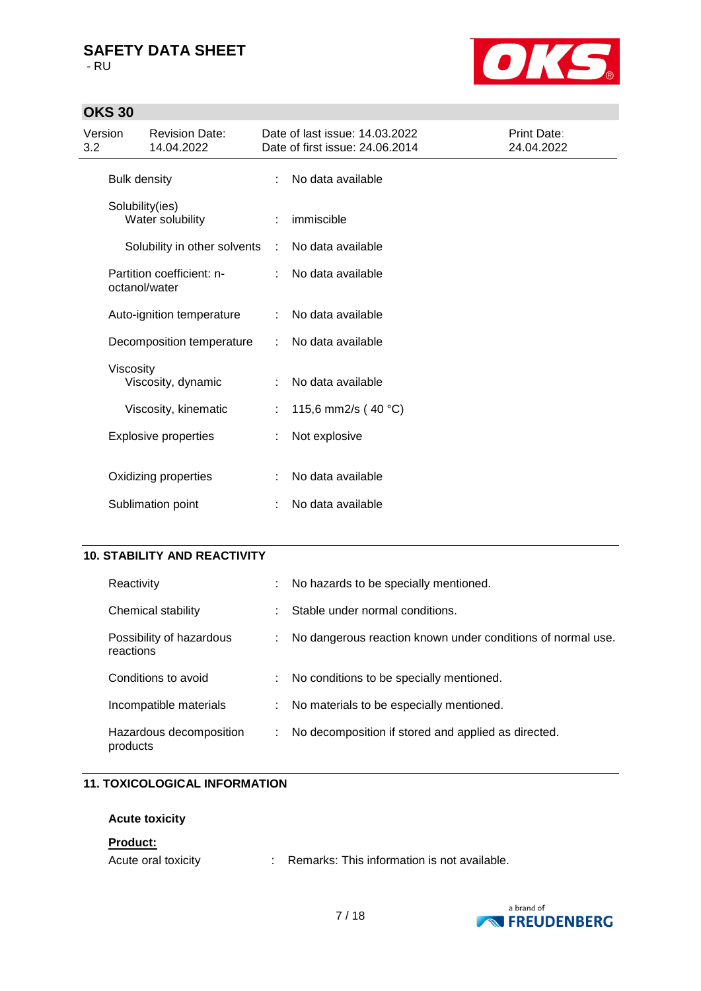- RU

# **OKS 30**



| Version<br>3.2 |                     | <b>Revision Date:</b><br>14.04.2022 |   | Date of last issue: 14.03.2022<br>Date of first issue: 24.06.2014 | Print Date:<br>24.04.2022 |
|----------------|---------------------|-------------------------------------|---|-------------------------------------------------------------------|---------------------------|
|                | <b>Bulk density</b> |                                     | ÷ | No data available                                                 |                           |
|                | Solubility(ies)     | Water solubility                    |   | immiscible                                                        |                           |
|                |                     | Solubility in other solvents        | ÷ | No data available                                                 |                           |
|                | octanol/water       | Partition coefficient: n-           |   | No data available                                                 |                           |
|                |                     | Auto-ignition temperature           | ÷ | No data available                                                 |                           |
|                |                     | Decomposition temperature           | ÷ | No data available                                                 |                           |
|                | Viscosity           | Viscosity, dynamic                  | ÷ | No data available                                                 |                           |
|                |                     | Viscosity, kinematic                |   | 115,6 mm2/s (40 °C)                                               |                           |
|                |                     | <b>Explosive properties</b>         |   | Not explosive                                                     |                           |
|                |                     | Oxidizing properties                |   | No data available                                                 |                           |
|                |                     | Sublimation point                   |   | No data available                                                 |                           |
|                |                     |                                     |   |                                                                   |                           |

## **10. STABILITY AND REACTIVITY**

| Reactivity                            | No hazards to be specially mentioned.                       |
|---------------------------------------|-------------------------------------------------------------|
| Chemical stability                    | Stable under normal conditions.                             |
| Possibility of hazardous<br>reactions | No dangerous reaction known under conditions of normal use. |
| Conditions to avoid                   | No conditions to be specially mentioned.                    |
| Incompatible materials                | No materials to be especially mentioned.                    |
| Hazardous decomposition<br>products   | No decomposition if stored and applied as directed.         |

## **11. TOXICOLOGICAL INFORMATION**

## **Acute toxicity**

#### **Product:**

| Acute oral toxicity |  | Remarks: This information is not available. |
|---------------------|--|---------------------------------------------|
|---------------------|--|---------------------------------------------|

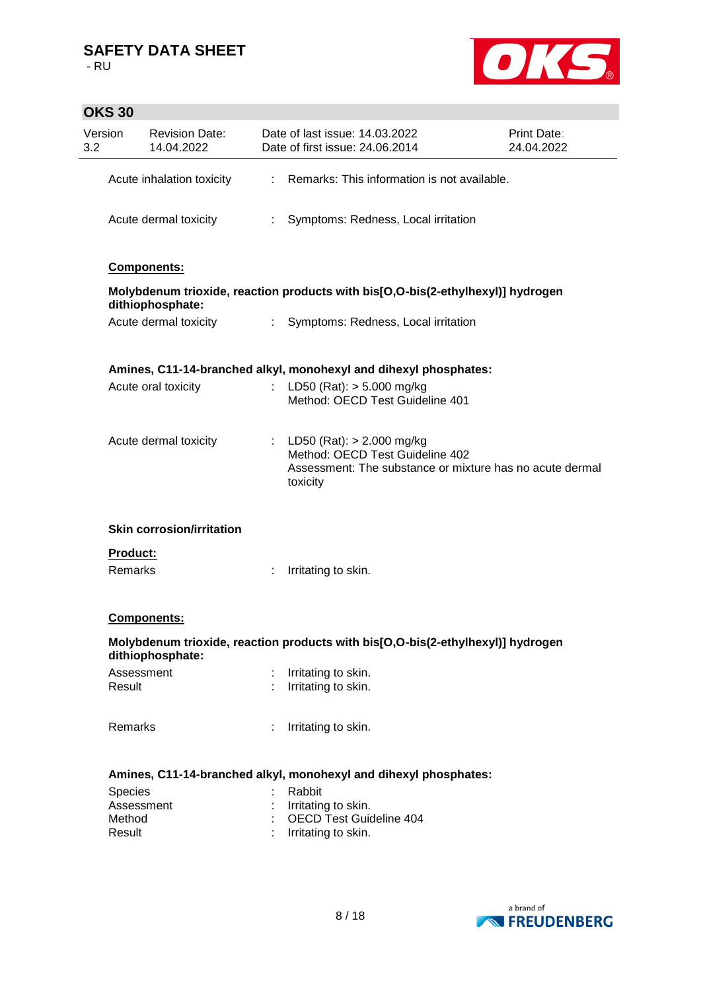

# **OKS 30**

| Version<br>3.2   | <b>Revision Date:</b><br>14.04.2022 |                               | Date of last issue: 14.03.2022<br>Date of first issue: 24.06.2014                                                                        | <b>Print Date:</b><br>24.04.2022 |
|------------------|-------------------------------------|-------------------------------|------------------------------------------------------------------------------------------------------------------------------------------|----------------------------------|
|                  | Acute inhalation toxicity           |                               | : Remarks: This information is not available.                                                                                            |                                  |
|                  | Acute dermal toxicity               | $\mathcal{L}^{\mathcal{L}}$ . | Symptoms: Redness, Local irritation                                                                                                      |                                  |
|                  | <b>Components:</b>                  |                               |                                                                                                                                          |                                  |
|                  | dithiophosphate:                    |                               | Molybdenum trioxide, reaction products with bis[O,O-bis(2-ethylhexyl)] hydrogen                                                          |                                  |
|                  | Acute dermal toxicity               |                               | : Symptoms: Redness, Local irritation                                                                                                    |                                  |
|                  |                                     |                               | Amines, C11-14-branched alkyl, monohexyl and dihexyl phosphates:                                                                         |                                  |
|                  | Acute oral toxicity                 |                               | LD50 (Rat): $> 5.000$ mg/kg<br>Method: OECD Test Guideline 401                                                                           |                                  |
|                  | Acute dermal toxicity               |                               | : LD50 (Rat): $> 2.000$ mg/kg<br>Method: OECD Test Guideline 402<br>Assessment: The substance or mixture has no acute dermal<br>toxicity |                                  |
|                  | <b>Skin corrosion/irritation</b>    |                               |                                                                                                                                          |                                  |
| <b>Product:</b>  |                                     |                               |                                                                                                                                          |                                  |
| Remarks          |                                     |                               | Irritating to skin.                                                                                                                      |                                  |
|                  | Components:                         |                               |                                                                                                                                          |                                  |
|                  | dithiophosphate:                    |                               | Molybdenum trioxide, reaction products with bis[O,O-bis(2-ethylhexyl)] hydrogen                                                          |                                  |
|                  | Assessment                          |                               | : Irritating to skin.                                                                                                                    |                                  |
| Result           |                                     |                               | : Irritating to skin.                                                                                                                    |                                  |
| Remarks          |                                     | ÷.                            | Irritating to skin.                                                                                                                      |                                  |
|                  |                                     |                               | Amines, C11-14-branched alkyl, monohexyl and dihexyl phosphates:                                                                         |                                  |
| Species          |                                     |                               | Rabbit                                                                                                                                   |                                  |
|                  | Assessment                          |                               | : Irritating to skin.                                                                                                                    |                                  |
| Method<br>Result |                                     |                               | : OECD Test Guideline 404<br>Irritating to skin.                                                                                         |                                  |
|                  |                                     |                               |                                                                                                                                          |                                  |
|                  |                                     |                               |                                                                                                                                          |                                  |

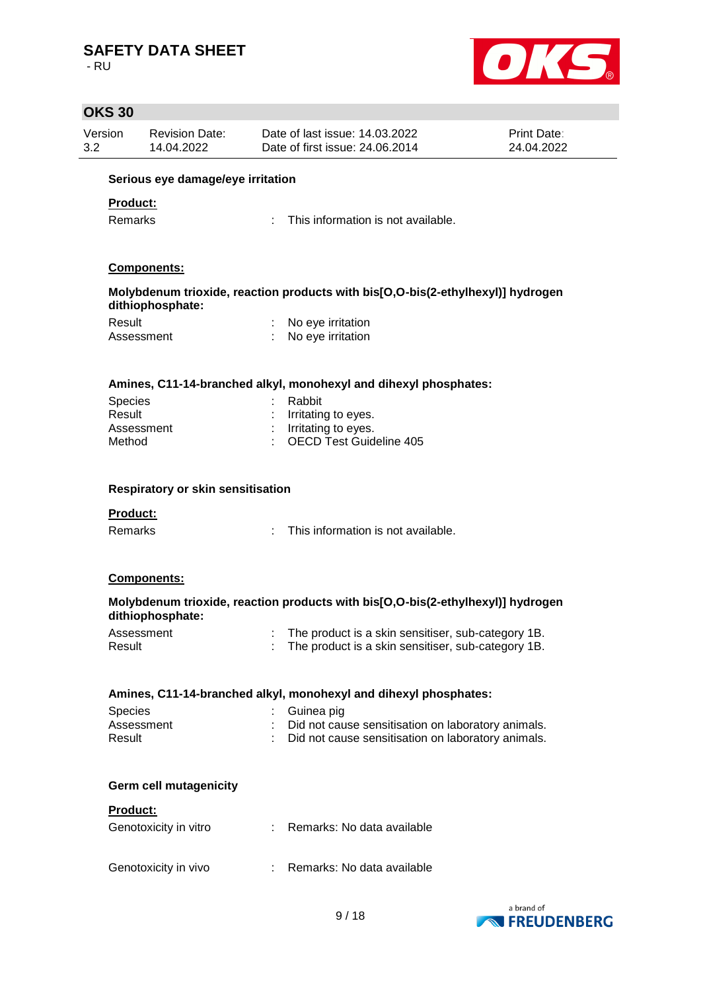- RU



|                | <b>OKS 30</b>                     |                                     |  |                                                                                                          |                                  |  |  |
|----------------|-----------------------------------|-------------------------------------|--|----------------------------------------------------------------------------------------------------------|----------------------------------|--|--|
| Version<br>3.2 |                                   | <b>Revision Date:</b><br>14.04.2022 |  | Date of last issue: 14.03.2022<br>Date of first issue: 24.06.2014                                        | <b>Print Date:</b><br>24.04.2022 |  |  |
|                | Serious eye damage/eye irritation |                                     |  |                                                                                                          |                                  |  |  |
|                | Product:                          |                                     |  |                                                                                                          |                                  |  |  |
|                | Remarks                           |                                     |  | This information is not available.                                                                       |                                  |  |  |
|                |                                   | Components:                         |  |                                                                                                          |                                  |  |  |
|                |                                   | dithiophosphate:                    |  | Molybdenum trioxide, reaction products with bis[O,O-bis(2-ethylhexyl)] hydrogen                          |                                  |  |  |
|                | Result                            |                                     |  | No eye irritation                                                                                        |                                  |  |  |
|                | Assessment                        |                                     |  | No eye irritation                                                                                        |                                  |  |  |
|                |                                   |                                     |  | Amines, C11-14-branched alkyl, monohexyl and dihexyl phosphates:                                         |                                  |  |  |
|                | Species                           |                                     |  | Rabbit                                                                                                   |                                  |  |  |
|                | Result                            |                                     |  | Irritating to eyes.                                                                                      |                                  |  |  |
|                | Assessment<br>Method              |                                     |  | : Irritating to eyes.<br><b>OECD Test Guideline 405</b>                                                  |                                  |  |  |
|                |                                   | Respiratory or skin sensitisation   |  |                                                                                                          |                                  |  |  |
|                |                                   |                                     |  |                                                                                                          |                                  |  |  |
|                | Product:                          |                                     |  |                                                                                                          |                                  |  |  |
|                | Remarks                           |                                     |  | This information is not available.                                                                       |                                  |  |  |
|                |                                   | <b>Components:</b>                  |  |                                                                                                          |                                  |  |  |
|                |                                   | dithiophosphate:                    |  | Molybdenum trioxide, reaction products with bis[O,O-bis(2-ethylhexyl)] hydrogen                          |                                  |  |  |
|                | Assessment<br>Result              |                                     |  | The product is a skin sensitiser, sub-category 1B.<br>The product is a skin sensitiser, sub-category 1B. |                                  |  |  |
|                |                                   |                                     |  | Amines, C11-14-branched alkyl, monohexyl and dihexyl phosphates:                                         |                                  |  |  |
|                | <b>Species</b>                    |                                     |  | Guinea pig                                                                                               |                                  |  |  |
|                | Assessment                        |                                     |  | Did not cause sensitisation on laboratory animals.                                                       |                                  |  |  |
|                | Result                            |                                     |  | Did not cause sensitisation on laboratory animals.                                                       |                                  |  |  |
|                |                                   | <b>Germ cell mutagenicity</b>       |  |                                                                                                          |                                  |  |  |
|                | <b>Product:</b>                   |                                     |  |                                                                                                          |                                  |  |  |
|                |                                   | Genotoxicity in vitro               |  | Remarks: No data available                                                                               |                                  |  |  |
|                |                                   | Genotoxicity in vivo                |  | Remarks: No data available                                                                               |                                  |  |  |
|                |                                   |                                     |  |                                                                                                          |                                  |  |  |

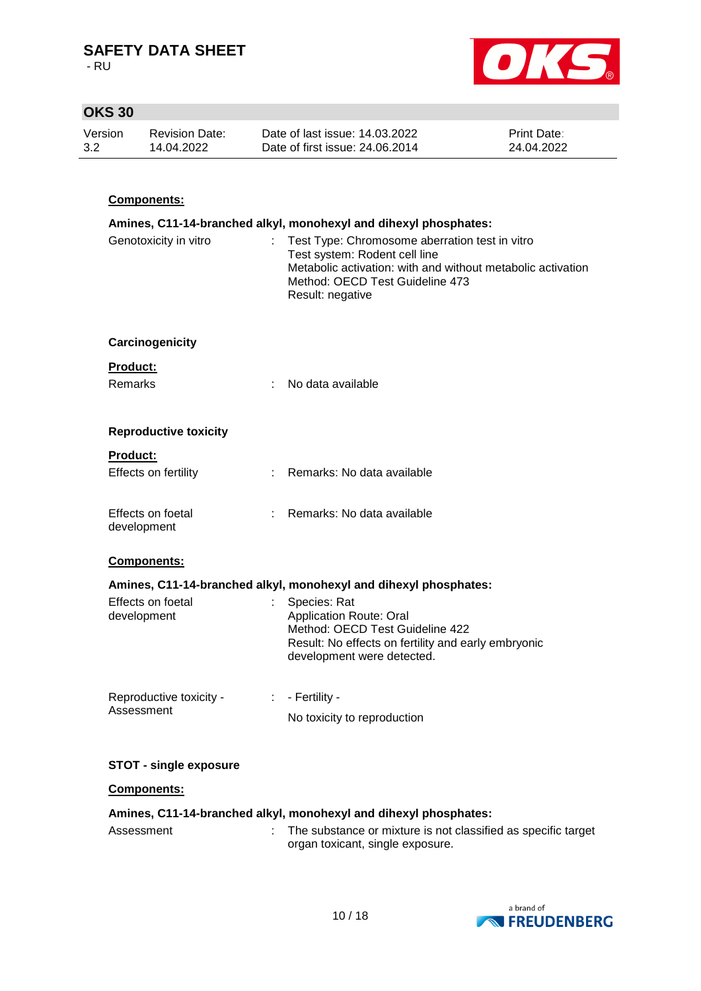- RU



# **OKS 30**

| Version | Revision Date: | Date of last issue: 14.03.2022  | <b>Print Date:</b> |
|---------|----------------|---------------------------------|--------------------|
| 3.2     | 14.04.2022     | Date of first issue: 24.06.2014 | 24.04.2022         |
|         |                |                                 |                    |

## **Components:**

| Amines, C11-14-branched alkyl, monohexyl and dihexyl phosphates: |                             |                                                                                                                                                                                                       |  |  |
|------------------------------------------------------------------|-----------------------------|-------------------------------------------------------------------------------------------------------------------------------------------------------------------------------------------------------|--|--|
| Genotoxicity in vitro                                            | t.                          | Test Type: Chromosome aberration test in vitro<br>Test system: Rodent cell line<br>Metabolic activation: with and without metabolic activation<br>Method: OECD Test Guideline 473<br>Result: negative |  |  |
| Carcinogenicity                                                  |                             |                                                                                                                                                                                                       |  |  |
| <b>Product:</b>                                                  |                             |                                                                                                                                                                                                       |  |  |
| <b>Remarks</b>                                                   | ÷                           | No data available                                                                                                                                                                                     |  |  |
| <b>Reproductive toxicity</b>                                     |                             |                                                                                                                                                                                                       |  |  |
| Product:                                                         |                             |                                                                                                                                                                                                       |  |  |
| Effects on fertility                                             |                             | Remarks: No data available                                                                                                                                                                            |  |  |
| Effects on foetal<br>development                                 | ÷.                          | Remarks: No data available                                                                                                                                                                            |  |  |
| <b>Components:</b>                                               |                             |                                                                                                                                                                                                       |  |  |
|                                                                  |                             | Amines, C11-14-branched alkyl, monohexyl and dihexyl phosphates:                                                                                                                                      |  |  |
| Effects on foetal<br>development                                 |                             | Species: Rat<br><b>Application Route: Oral</b><br>Method: OECD Test Guideline 422<br>Result: No effects on fertility and early embryonic<br>development were detected.                                |  |  |
| Reproductive toxicity -                                          | $\mathcal{L}^{\mathcal{L}}$ | - Fertility -                                                                                                                                                                                         |  |  |
| Assessment                                                       |                             | No toxicity to reproduction                                                                                                                                                                           |  |  |
| <b>STOT - single exposure</b>                                    |                             |                                                                                                                                                                                                       |  |  |

#### **Components:**

#### **Amines, C11-14-branched alkyl, monohexyl and dihexyl phosphates:**

Assessment : The substance or mixture is not classified as specific target organ toxicant, single exposure.

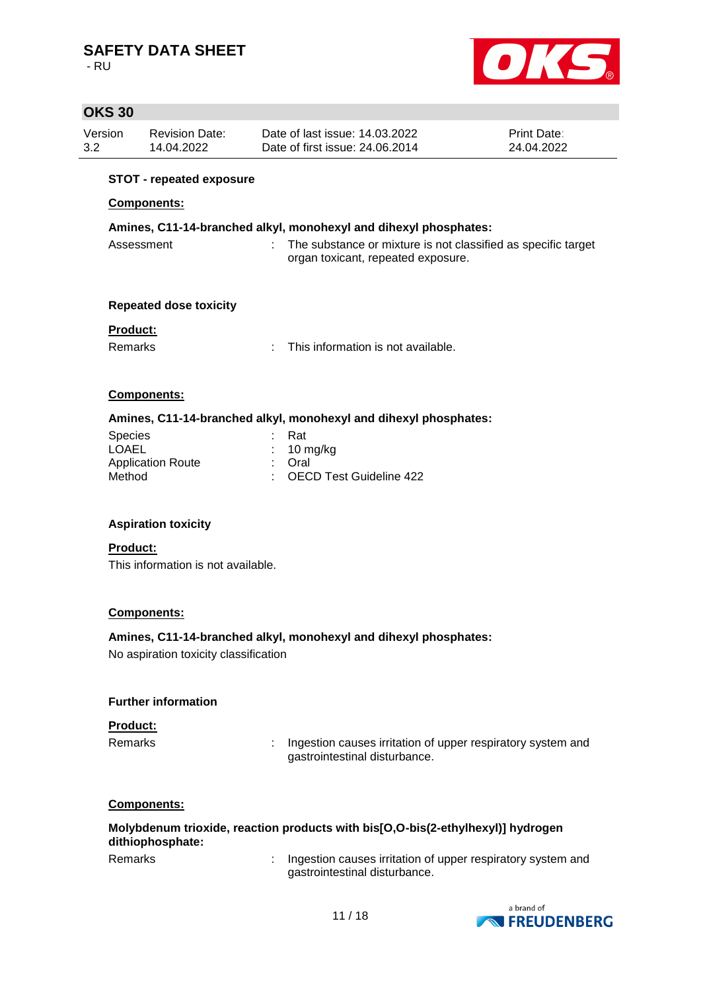- RU



# **OKS 30**

| Version | <b>Revision Date:</b> | Date of last issue: 14.03.2022  | <b>Print Date:</b> |
|---------|-----------------------|---------------------------------|--------------------|
| 3.2     | 14.04.2022            | Date of first issue: 24,06,2014 | 24.04.2022         |

#### **STOT - repeated exposure**

#### **Components:**

## **Amines, C11-14-branched alkyl, monohexyl and dihexyl phosphates:**

| Assessment | The substance or mixture is not classified as specific target |
|------------|---------------------------------------------------------------|
|            | organ toxicant, repeated exposure.                            |

#### **Repeated dose toxicity**

## **Product:**

Remarks : This information is not available.

## **Components:**

#### **Amines, C11-14-branched alkyl, monohexyl and dihexyl phosphates:**

| : Rat                     |
|---------------------------|
| $: 10 \text{ mg/kg}$      |
| : Oral                    |
| : OECD Test Guideline 422 |
|                           |

## **Aspiration toxicity**

#### **Product:** This information is not available.

#### **Components:**

## **Amines, C11-14-branched alkyl, monohexyl and dihexyl phosphates:**

No aspiration toxicity classification

#### **Further information**

#### **Product:**

Remarks : Ingestion causes irritation of upper respiratory system and gastrointestinal disturbance.

#### **Components:**

#### **Molybdenum trioxide, reaction products with bis[O,O-bis(2-ethylhexyl)] hydrogen dithiophosphate:**

Remarks : Ingestion causes irritation of upper respiratory system and gastrointestinal disturbance.

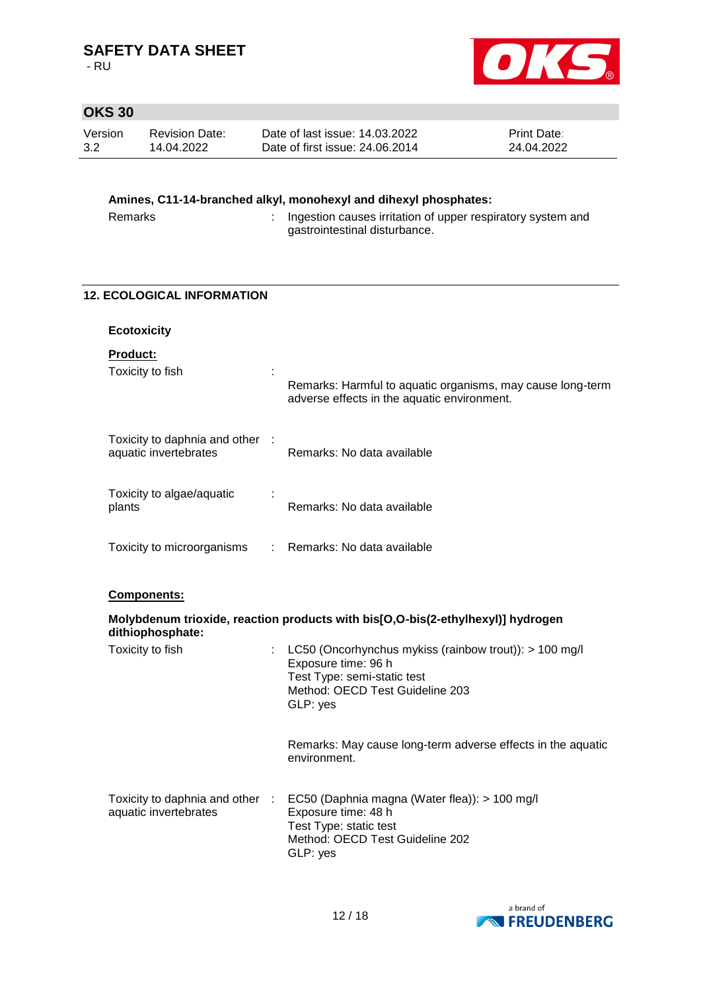- RU



## **OKS 30**

| Version | <b>Revision Date:</b> | Date of last issue: 14.03.2022  | <b>Print Date:</b> |
|---------|-----------------------|---------------------------------|--------------------|
| 3.2     | 14.04.2022            | Date of first issue: 24.06.2014 | 24.04.2022         |
|         |                       |                                 |                    |

# **Amines, C11-14-branched alkyl, monohexyl and dihexyl phosphates:**

| Remarks | Ingestion causes irritation of upper respiratory system and |
|---------|-------------------------------------------------------------|
|         | gastrointestinal disturbance.                               |

# **12. ECOLOGICAL INFORMATION Ecotoxicity Product:** Toxicity to fish the state of the state of the state of the state of the state of the state of the state of the state of the state of the state of the state of the state of the state of the state of the state of the state Remarks: Harmful to aquatic organisms, may cause long-term adverse effects in the aquatic environment. Toxicity to daphnia and other : aquatic invertebrates Remarks: No data available Toxicity to algae/aquatic plants : Remarks: No data available Toxicity to microorganisms : Remarks: No data available **Components: Molybdenum trioxide, reaction products with bis[O,O-bis(2-ethylhexyl)] hydrogen dithiophosphate:** Toxicity to fish : LC50 (Oncorhynchus mykiss (rainbow trout)): > 100 mg/l Exposure time: 96 h Test Type: semi-static test Method: OECD Test Guideline 203 GLP: yes Remarks: May cause long-term adverse effects in the aquatic environment. Toxicity to daphnia and other aquatic invertebrates : EC50 (Daphnia magna (Water flea)): > 100 mg/l Exposure time: 48 h



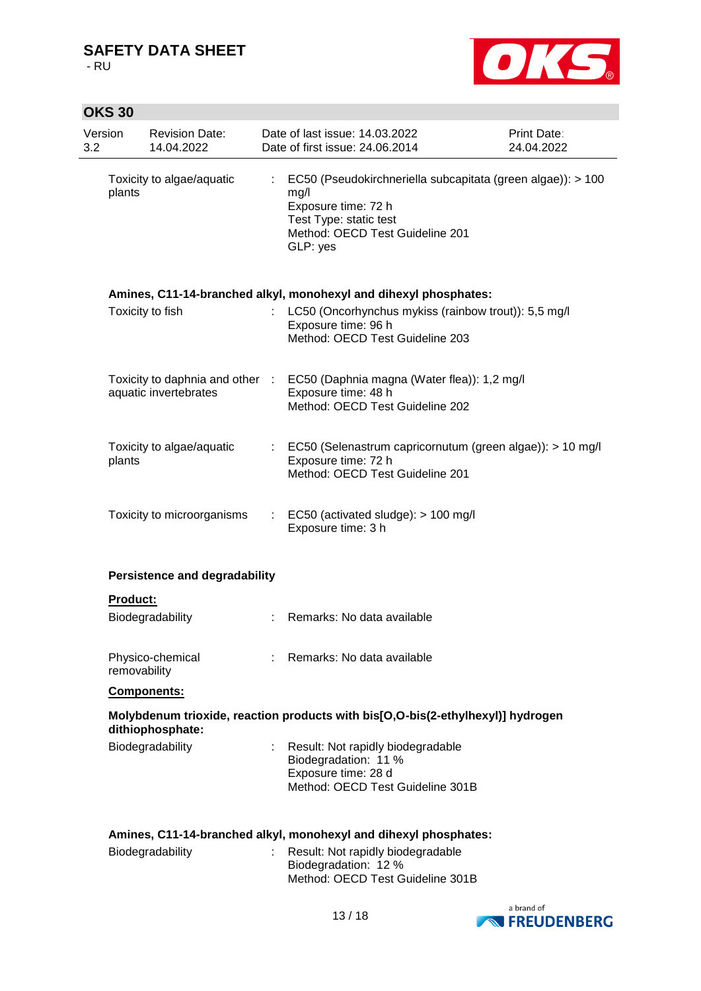- RU

**OKS 30**



| Version<br>3.2 | <b>Revision Date:</b><br>14.04.2022                      | Date of last issue: 14.03.2022<br>Date of first issue: 24.06.2014                                                                                                   | Print Date:<br>24.04.2022 |
|----------------|----------------------------------------------------------|---------------------------------------------------------------------------------------------------------------------------------------------------------------------|---------------------------|
| plants         | Toxicity to algae/aquatic                                | EC50 (Pseudokirchneriella subcapitata (green algae)): > 100<br>mg/l<br>Exposure time: 72 h<br>Test Type: static test<br>Method: OECD Test Guideline 201<br>GLP: yes |                           |
|                |                                                          | Amines, C11-14-branched alkyl, monohexyl and dihexyl phosphates:                                                                                                    |                           |
|                | Toxicity to fish                                         | LC50 (Oncorhynchus mykiss (rainbow trout)): 5,5 mg/l<br>Exposure time: 96 h<br>Method: OECD Test Guideline 203                                                      |                           |
|                | Toxicity to daphnia and other :<br>aquatic invertebrates | EC50 (Daphnia magna (Water flea)): 1,2 mg/l<br>Exposure time: 48 h<br>Method: OECD Test Guideline 202                                                               |                           |
| plants         | Toxicity to algae/aquatic                                | EC50 (Selenastrum capricornutum (green algae)): > 10 mg/l<br>Exposure time: 72 h<br>Method: OECD Test Guideline 201                                                 |                           |
|                | Toxicity to microorganisms                               | $\therefore$ EC50 (activated sludge): $> 100$ mg/l<br>Exposure time: 3 h                                                                                            |                           |
|                | <b>Persistence and degradability</b>                     |                                                                                                                                                                     |                           |
| Product:       |                                                          |                                                                                                                                                                     |                           |
|                | Biodegradability                                         | Remarks: No data available                                                                                                                                          |                           |
|                | Physico-chemical<br>removability                         | : Remarks: No data available                                                                                                                                        |                           |
|                | <b>Components:</b>                                       |                                                                                                                                                                     |                           |
|                | dithiophosphate:                                         | Molybdenum trioxide, reaction products with bis[O,O-bis(2-ethylhexyl)] hydrogen                                                                                     |                           |
|                | Biodegradability                                         | Result: Not rapidly biodegradable<br>Biodegradation: 11 %<br>Exposure time: 28 d<br>Method: OECD Test Guideline 301B                                                |                           |
|                |                                                          | Amines, C11-14-branched alkyl, monohexyl and dihexyl phosphates:                                                                                                    |                           |
|                | Biodegradability                                         | Result: Not rapidly biodegradable<br>Biodegradation: 12 %<br>Method: OECD Test Guideline 301B                                                                       |                           |

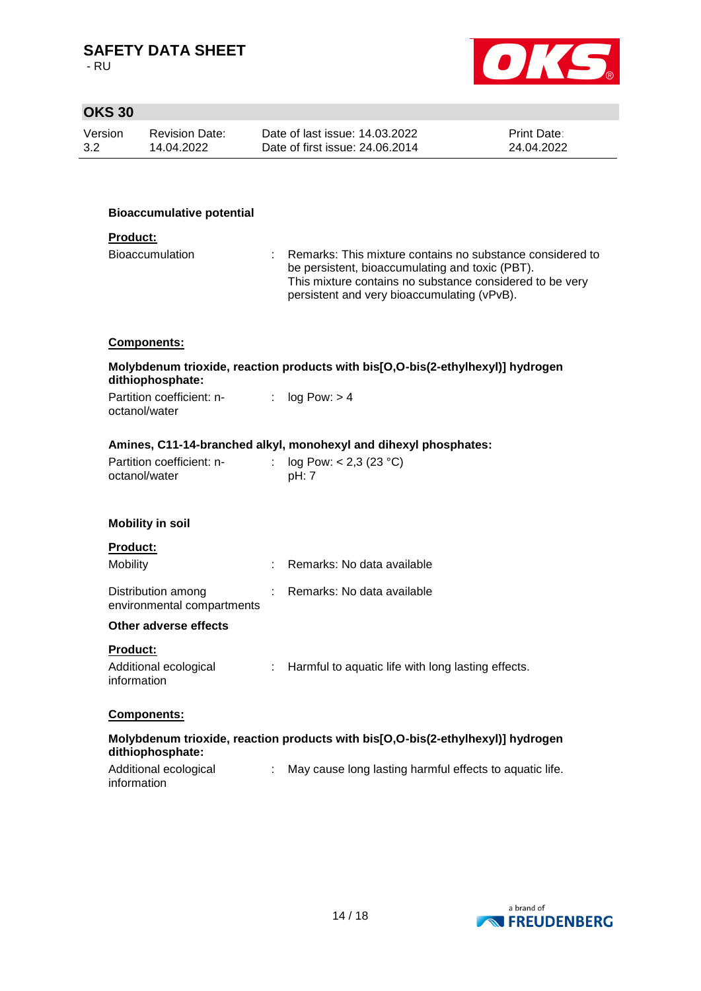- RU

 $\overline{a}$ 



# **OKS 30**

| Version<br>Date of last issue: 14.03.2022<br><b>Print Date:</b><br><b>Revision Date:</b><br>3.2<br>Date of first issue: 24,06,2014<br>24.04.2022<br>14.04.2022 |  |
|----------------------------------------------------------------------------------------------------------------------------------------------------------------|--|
|----------------------------------------------------------------------------------------------------------------------------------------------------------------|--|

#### **Bioaccumulative potential**

#### **Product:**

| Bioaccumulation | : Remarks: This mixture contains no substance considered to |
|-----------------|-------------------------------------------------------------|
|                 | be persistent, bioaccumulating and toxic (PBT).             |
|                 | This mixture contains no substance considered to be very    |
|                 | persistent and very bioaccumulating (vPvB).                 |

#### **Components:**

## **Molybdenum trioxide, reaction products with bis[O,O-bis(2-ethylhexyl)] hydrogen dithiophosphate:**

| Partition coefficient: n- | : $log Pow: > 4$ |
|---------------------------|------------------|
| octanol/water             |                  |

#### **Amines, C11-14-branched alkyl, monohexyl and dihexyl phosphates:**

| Partition coefficient: n- | : $log Pow: < 2.3 (23 °C)$ |
|---------------------------|----------------------------|
| octanol/water             | pH: 7                      |

#### **Mobility in soil**

| <b>Product:</b>                                  |                              |
|--------------------------------------------------|------------------------------|
| Mobility                                         | : Remarks: No data available |
| Distribution among<br>environmental compartments | : Remarks: No data available |

#### **Other adverse effects**

#### **Product:**

| Additional ecological | Harmful to aquatic life with long lasting effects. |
|-----------------------|----------------------------------------------------|
| information           |                                                    |

#### **Components:**

## **Molybdenum trioxide, reaction products with bis[O,O-bis(2-ethylhexyl)] hydrogen dithiophosphate:**

| Additional ecological | May cause long lasting harmful effects to aquatic life. |
|-----------------------|---------------------------------------------------------|
| information           |                                                         |

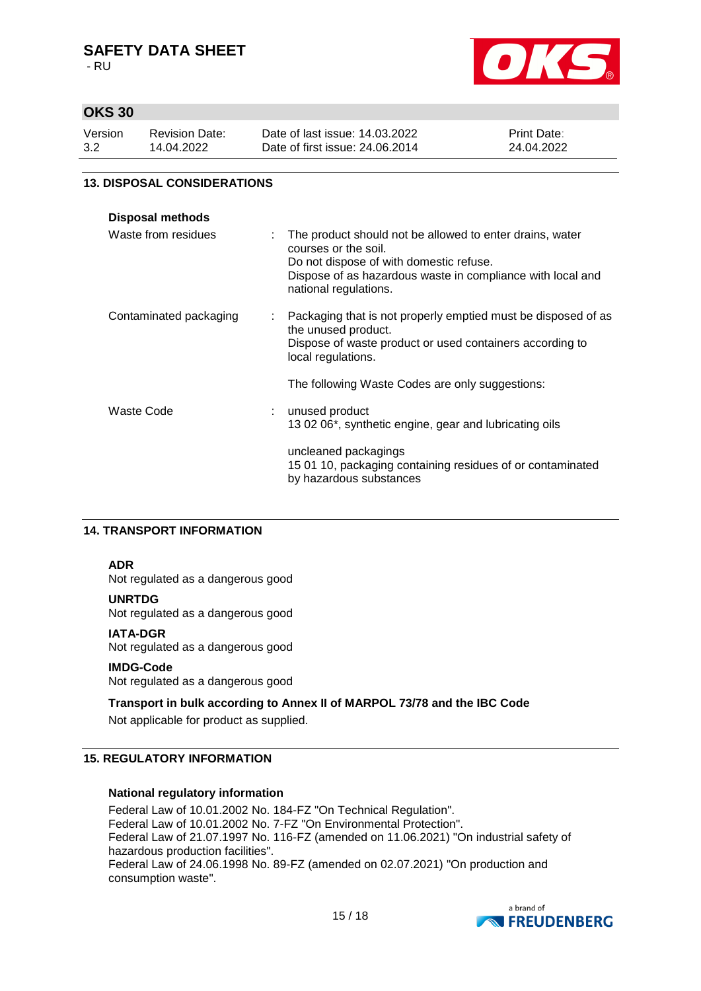- RU



# **OKS 30**

| Version | <b>Revision Date:</b> | Date of last issue: 14.03.2022  | <b>Print Date:</b> |
|---------|-----------------------|---------------------------------|--------------------|
| 3.2     | 14.04.2022            | Date of first issue: 24,06,2014 | 24.04.2022         |

### **13. DISPOSAL CONSIDERATIONS**

| <b>Disposal methods</b> |   |                                                                                                                                                                                                                    |
|-------------------------|---|--------------------------------------------------------------------------------------------------------------------------------------------------------------------------------------------------------------------|
| Waste from residues     |   | The product should not be allowed to enter drains, water<br>courses or the soil.<br>Do not dispose of with domestic refuse.<br>Dispose of as hazardous waste in compliance with local and<br>national regulations. |
| Contaminated packaging  | ÷ | Packaging that is not properly emptied must be disposed of as<br>the unused product.<br>Dispose of waste product or used containers according to<br>local regulations.                                             |
|                         |   | The following Waste Codes are only suggestions:                                                                                                                                                                    |
| Waste Code              | ÷ | unused product<br>13 02 06*, synthetic engine, gear and lubricating oils                                                                                                                                           |
|                         |   | uncleaned packagings<br>15 01 10, packaging containing residues of or contaminated<br>by hazardous substances                                                                                                      |

## **14. TRANSPORT INFORMATION**

#### **ADR**

Not regulated as a dangerous good

#### **UNRTDG**

Not regulated as a dangerous good

#### **IATA-DGR**

Not regulated as a dangerous good

#### **IMDG-Code**

Not regulated as a dangerous good

#### **Transport in bulk according to Annex II of MARPOL 73/78 and the IBC Code**

Not applicable for product as supplied.

## **15. REGULATORY INFORMATION**

#### **National regulatory information**

Federal Law of 10.01.2002 No. 184-FZ "On Technical Regulation". Federal Law of 10.01.2002 No. 7-FZ "On Environmental Protection". Federal Law of 21.07.1997 No. 116-FZ (amended on 11.06.2021) "On industrial safety of hazardous production facilities". Federal Law of 24.06.1998 No. 89-FZ (amended on 02.07.2021) "On production and consumption waste".

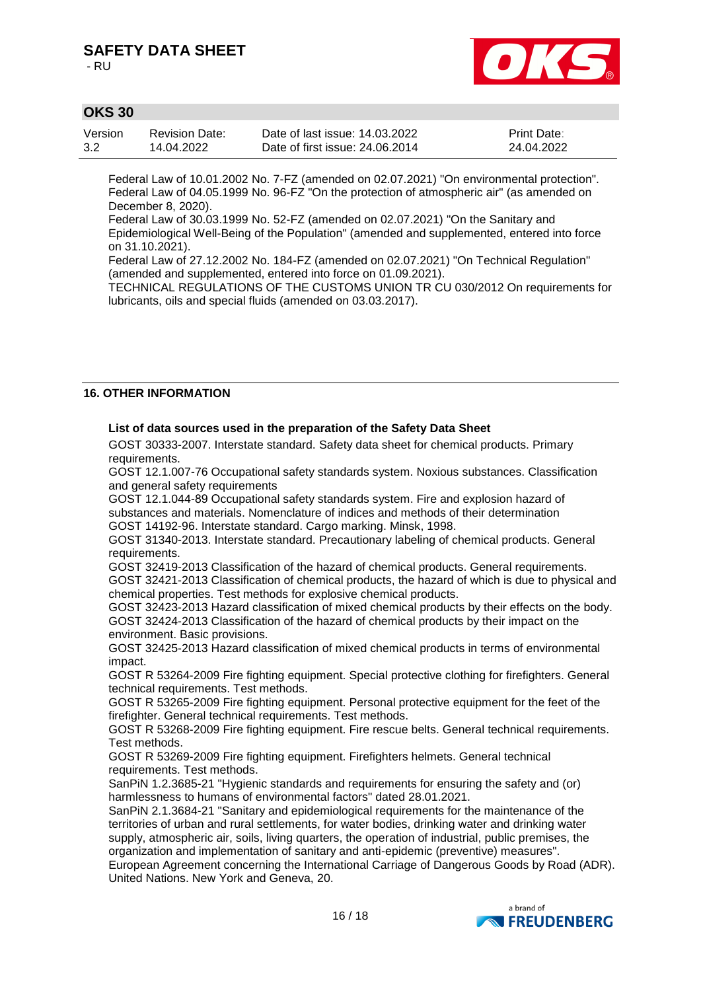- RU



# **OKS 30**

| Version | <b>Revision Date:</b> | Date of last issue: 14.03.2022  | <b>Print Date:</b> |
|---------|-----------------------|---------------------------------|--------------------|
| 3.2     | 14.04.2022            | Date of first issue: 24,06,2014 | 24.04.2022         |

Federal Law of 10.01.2002 No. 7-FZ (amended on 02.07.2021) "On environmental protection". Federal Law of 04.05.1999 No. 96-FZ "On the protection of atmospheric air" (as amended on December 8, 2020).

Federal Law of 30.03.1999 No. 52-FZ (amended on 02.07.2021) "On the Sanitary and Epidemiological Well-Being of the Population" (amended and supplemented, entered into force on 31.10.2021).

Federal Law of 27.12.2002 No. 184-FZ (amended on 02.07.2021) "On Technical Regulation" (amended and supplemented, entered into force on 01.09.2021).

TECHNICAL REGULATIONS OF THE CUSTOMS UNION TR CU 030/2012 On requirements for lubricants, oils and special fluids (amended on 03.03.2017).

#### **16. OTHER INFORMATION**

#### **List of data sources used in the preparation of the Safety Data Sheet**

GOST 30333-2007. Interstate standard. Safety data sheet for chemical products. Primary requirements.

GOST 12.1.007-76 Occupational safety standards system. Noxious substances. Classification and general safety requirements

GOST 12.1.044-89 Оccupational safety standards system. Fire and explosion hazard of substances and materials. Nomenclature of indices and methods of their determination GOST 14192-96. Interstate standard. Cargo marking. Minsk, 1998.

GOST 31340-2013. Interstate standard. Precautionary labeling of chemical products. General requirements.

GOST 32419-2013 Classification of the hazard of chemical products. General requirements. GOST 32421-2013 Classification of chemical products, the hazard of which is due to physical and chemical properties. Test methods for explosive chemical products.

GOST 32423-2013 Hazard classification of mixed chemical products by their effects on the body. GOST 32424-2013 Classification of the hazard of chemical products by their impact on the environment. Basic provisions.

GOST 32425-2013 Hazard classification of mixed chemical products in terms of environmental impact.

GOST R 53264-2009 Fire fighting equipment. Special protective clothing for firefighters. General technical requirements. Test methods.

GOST R 53265-2009 Fire fighting equipment. Personal protective equipment for the feet of the firefighter. General technical requirements. Test methods.

GOST R 53268-2009 Fire fighting equipment. Fire rescue belts. General technical requirements. Test methods.

GOST R 53269-2009 Fire fighting equipment. Firefighters helmets. General technical requirements. Test methods.

SanPiN 1.2.3685-21 "Hygienic standards and requirements for ensuring the safety and (or) harmlessness to humans of environmental factors" dated 28.01.2021.

SanPiN 2.1.3684-21 "Sanitary and epidemiological requirements for the maintenance of the territories of urban and rural settlements, for water bodies, drinking water and drinking water supply, atmospheric air, soils, living quarters, the operation of industrial, public premises, the organization and implementation of sanitary and anti-epidemic (preventive) measures".

European Agreement concerning the International Carriage of Dangerous Goods by Road (ADR). United Nations. New York and Geneva, 20.

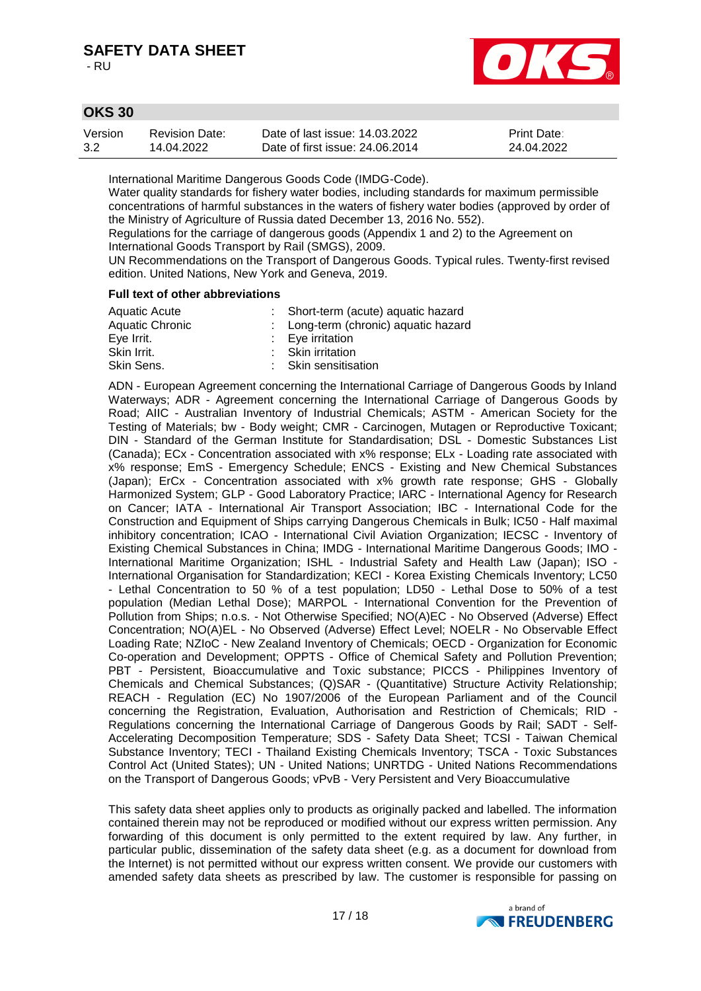- RU



# **OKS 30**

| Version | <b>Revision Date:</b> | Date of last issue: 14.03.2022  | <b>Print Date:</b> |
|---------|-----------------------|---------------------------------|--------------------|
| 3.2     | 14.04.2022            | Date of first issue: 24,06,2014 | 24.04.2022         |

International Maritime Dangerous Goods Code (IMDG-Code).

Water quality standards for fishery water bodies, including standards for maximum permissible concentrations of harmful substances in the waters of fishery water bodies (approved by order of the Ministry of Agriculture of Russia dated December 13, 2016 No. 552).

Regulations for the carriage of dangerous goods (Appendix 1 and 2) to the Agreement on International Goods Transport by Rail (SMGS), 2009.

UN Recommendations on the Transport of Dangerous Goods. Typical rules. Twenty-first revised edition. United Nations, New York and Geneva, 2019.

#### **Full text of other abbreviations**

| Aquatic Acute          | : Short-term (acute) aquatic hazard  |  |
|------------------------|--------------------------------------|--|
| <b>Aquatic Chronic</b> | : Long-term (chronic) aquatic hazard |  |
| Eye Irrit.             | $: Eye$ irritation                   |  |
| Skin Irrit.            | : Skin irritation                    |  |
| Skin Sens.             | : Skin sensitisation                 |  |
|                        |                                      |  |

ADN - European Agreement concerning the International Carriage of Dangerous Goods by Inland Waterways; ADR - Agreement concerning the International Carriage of Dangerous Goods by Road; AIIC - Australian Inventory of Industrial Chemicals; ASTM - American Society for the Testing of Materials; bw - Body weight; CMR - Carcinogen, Mutagen or Reproductive Toxicant; DIN - Standard of the German Institute for Standardisation; DSL - Domestic Substances List (Canada); ECx - Concentration associated with x% response; ELx - Loading rate associated with x% response; EmS - Emergency Schedule; ENCS - Existing and New Chemical Substances (Japan); ErCx - Concentration associated with x% growth rate response; GHS - Globally Harmonized System; GLP - Good Laboratory Practice; IARC - International Agency for Research on Cancer; IATA - International Air Transport Association; IBC - International Code for the Construction and Equipment of Ships carrying Dangerous Chemicals in Bulk; IC50 - Half maximal inhibitory concentration; ICAO - International Civil Aviation Organization; IECSC - Inventory of Existing Chemical Substances in China; IMDG - International Maritime Dangerous Goods; IMO - International Maritime Organization; ISHL - Industrial Safety and Health Law (Japan); ISO - International Organisation for Standardization; KECI - Korea Existing Chemicals Inventory; LC50 - Lethal Concentration to 50 % of a test population; LD50 - Lethal Dose to 50% of a test population (Median Lethal Dose); MARPOL - International Convention for the Prevention of Pollution from Ships; n.o.s. - Not Otherwise Specified; NO(A)EC - No Observed (Adverse) Effect Concentration; NO(A)EL - No Observed (Adverse) Effect Level; NOELR - No Observable Effect Loading Rate; NZIoC - New Zealand Inventory of Chemicals; OECD - Organization for Economic Co-operation and Development; OPPTS - Office of Chemical Safety and Pollution Prevention; PBT - Persistent, Bioaccumulative and Toxic substance; PICCS - Philippines Inventory of Chemicals and Chemical Substances; (Q)SAR - (Quantitative) Structure Activity Relationship; REACH - Regulation (EC) No 1907/2006 of the European Parliament and of the Council concerning the Registration, Evaluation, Authorisation and Restriction of Chemicals; RID - Regulations concerning the International Carriage of Dangerous Goods by Rail; SADT - Self-Accelerating Decomposition Temperature; SDS - Safety Data Sheet; TCSI - Taiwan Chemical Substance Inventory; TECI - Thailand Existing Chemicals Inventory; TSCA - Toxic Substances Control Act (United States); UN - United Nations; UNRTDG - United Nations Recommendations on the Transport of Dangerous Goods; vPvB - Very Persistent and Very Bioaccumulative

This safety data sheet applies only to products as originally packed and labelled. The information contained therein may not be reproduced or modified without our express written permission. Any forwarding of this document is only permitted to the extent required by law. Any further, in particular public, dissemination of the safety data sheet (e.g. as a document for download from the Internet) is not permitted without our express written consent. We provide our customers with amended safety data sheets as prescribed by law. The customer is responsible for passing on